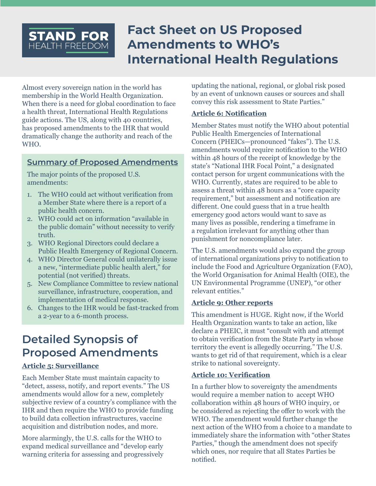# **Fact Sheet on US Proposed Amendments to WHO's International Health Regulations**

Almost every sovereign nation in the world has membership in the World Health Organization. When there is a need for global coordination to face a health threat, International Health Regulations guide actions. The US, along with 40 countries, has proposed amendments to the IHR that would dramatically change the authority and reach of the WHO.

# **Summary of Proposed Amendments**

The major points of the proposed U.S. amendments:

**STAND FOR** HEALTH FREEDOM

- 1. The WHO could act without verification from a Member State where there is a report of a public health concern.
- 2. WHO could act on information "available in the public domain" without necessity to verify truth.
- 3. WHO Regional Directors could declare a Public Health Emergency of Regional Concern.
- 4. WHO Director General could unilaterally issue a new, "intermediate public health alert," for potential (not verified) threats.
- 5. New Compliance Committee to review national surveillance, infrastructure, cooperation, and implementation of medical response.
- 6. Changes to the IHR would be fast-tracked from a 2-year to a 6-month process.

# **Detailed Synopsis of Proposed Amendments**

## **Article 5: Surveillance**

Each Member State must maintain capacity to "detect, assess, notify, and report events." The US amendments would allow for a new, completely subjective review of a country's compliance with the IHR and then require the WHO to provide funding to build data collection infrastructures, vaccine acquisition and distribution nodes, and more.

More alarmingly, the U.S. calls for the WHO to expand medical surveillance and "develop early warning criteria for assessing and progressively updating the national, regional, or global risk posed by an event of unknown causes or sources and shall convey this risk assessment to State Parties."

### **Article 6: Notification**

Member States must notify the WHO about potential Public Health Emergencies of International Concern (PHEICs—pronounced "fakes"). The U.S. amendments would require notification to the WHO within 48 hours of the receipt of knowledge by the state's "National IHR Focal Point," a designated contact person for urgent communications with the WHO. Currently, states are required to be able to assess a threat within 48 hours as a "core capacity requirement," but assessment and notification are different. One could guess that in a true health emergency good actors would want to save as many lives as possible, rendering a timeframe in a regulation irrelevant for anything other than punishment for noncompliance later.

The U.S. amendments would also expand the group of international organizations privy to notification to include the Food and Agriculture Organization (FAO), the World Organisation for Animal Health (OIE), the UN Environmental Programme (UNEP), "or other relevant entities."

## **Article 9: Other reports**

This amendment is HUGE. Right now, if the World Health Organization wants to take an action, like declare a PHEIC, it must "consult with and attempt to obtain verification from the State Party in whose territory the event is allegedly occurring." The U.S. wants to get rid of that requirement, which is a clear strike to national sovereignty.

### **Article 10: Verification**

In a further blow to sovereignty the amendments would require a member nation to accept WHO collaboration within 48 hours of WHO inquiry, or be considered as rejecting the offer to work with the WHO. The amendment would further change the next action of the WHO from a choice to a mandate to immediately share the information with "other States Parties," though the amendment does not specify which ones, nor require that all States Parties be notified.